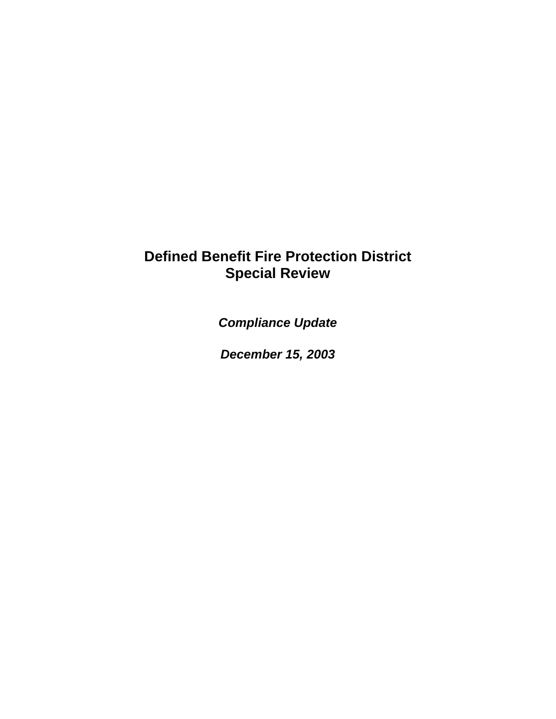## **Defined Benefit Fire Protection District Special Review**

*Compliance Update*

*December 15, 2003*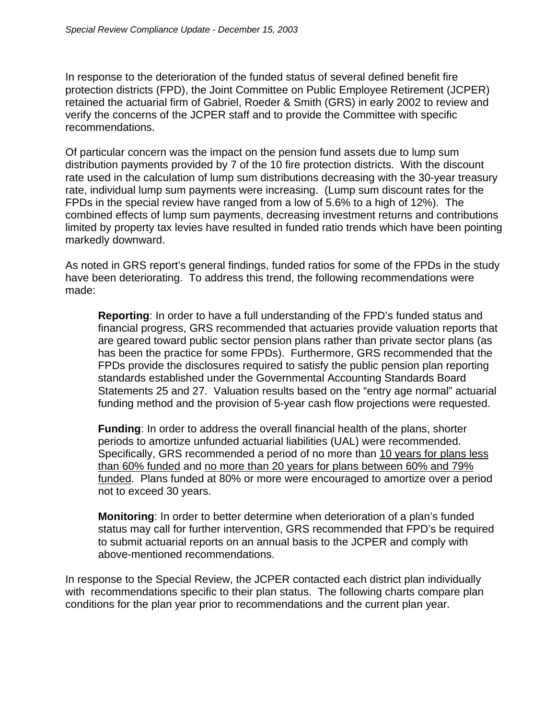In response to the deterioration of the funded status of several defined benefit fire protection districts (FPD), the Joint Committee on Public Employee Retirement (JCPER) retained the actuarial firm of Gabriel, Roeder & Smith (GRS) in early 2002 to review and verify the concerns of the JCPER staff and to provide the Committee with specific recommendations.

Of particular concern was the impact on the pension fund assets due to lump sum distribution payments provided by 7 of the 10 fire protection districts. With the discount rate used in the calculation of lump sum distributions decreasing with the 30-year treasury rate, individual lump sum payments were increasing. (Lump sum discount rates for the FPDs in the special review have ranged from a low of 5.6% to a high of 12%). The combined effects of lump sum payments, decreasing investment returns and contributions limited by property tax levies have resulted in funded ratio trends which have been pointing markedly downward.

As noted in GRS report's general findings, funded ratios for some of the FPDs in the study have been deteriorating. To address this trend, the following recommendations were made:

**Reporting**: In order to have a full understanding of the FPD's funded status and financial progress, GRS recommended that actuaries provide valuation reports that are geared toward public sector pension plans rather than private sector plans (as has been the practice for some FPDs). Furthermore, GRS recommended that the FPDs provide the disclosures required to satisfy the public pension plan reporting standards established under the Governmental Accounting Standards Board Statements 25 and 27. Valuation results based on the "entry age normal" actuarial funding method and the provision of 5-year cash flow projections were requested.

**Funding**: In order to address the overall financial health of the plans, shorter periods to amortize unfunded actuarial liabilities (UAL) were recommended. Specifically, GRS recommended a period of no more than 10 years for plans less than 60% funded and no more than 20 years for plans between 60% and 79% funded. Plans funded at 80% or more were encouraged to amortize over a period not to exceed 30 years.

**Monitoring**: In order to better determine when deterioration of a plan's funded status may call for further intervention, GRS recommended that FPD's be required to submit actuarial reports on an annual basis to the JCPER and comply with above-mentioned recommendations.

In response to the Special Review, the JCPER contacted each district plan individually with recommendations specific to their plan status. The following charts compare plan conditions for the plan year prior to recommendations and the current plan year.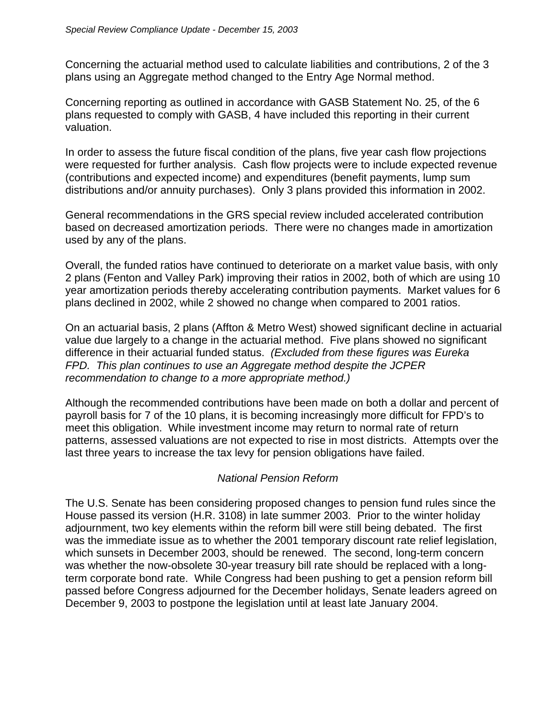Concerning the actuarial method used to calculate liabilities and contributions, 2 of the 3 plans using an Aggregate method changed to the Entry Age Normal method.

Concerning reporting as outlined in accordance with GASB Statement No. 25, of the 6 plans requested to comply with GASB, 4 have included this reporting in their current valuation.

In order to assess the future fiscal condition of the plans, five year cash flow projections were requested for further analysis. Cash flow projects were to include expected revenue (contributions and expected income) and expenditures (benefit payments, lump sum distributions and/or annuity purchases). Only 3 plans provided this information in 2002.

General recommendations in the GRS special review included accelerated contribution based on decreased amortization periods. There were no changes made in amortization used by any of the plans.

Overall, the funded ratios have continued to deteriorate on a market value basis, with only 2 plans (Fenton and Valley Park) improving their ratios in 2002, both of which are using 10 year amortization periods thereby accelerating contribution payments. Market values for 6 plans declined in 2002, while 2 showed no change when compared to 2001 ratios.

On an actuarial basis, 2 plans (Affton & Metro West) showed significant decline in actuarial value due largely to a change in the actuarial method. Five plans showed no significant difference in their actuarial funded status. *(Excluded from these figures was Eureka FPD. This plan continues to use an Aggregate method despite the JCPER recommendation to change to a more appropriate method.)*

Although the recommended contributions have been made on both a dollar and percent of payroll basis for 7 of the 10 plans, it is becoming increasingly more difficult for FPD's to meet this obligation. While investment income may return to normal rate of return patterns, assessed valuations are not expected to rise in most districts. Attempts over the last three years to increase the tax levy for pension obligations have failed.

## *National Pension Reform*

The U.S. Senate has been considering proposed changes to pension fund rules since the House passed its version (H.R. 3108) in late summer 2003. Prior to the winter holiday adjournment, two key elements within the reform bill were still being debated. The first was the immediate issue as to whether the 2001 temporary discount rate relief legislation, which sunsets in December 2003, should be renewed. The second, long-term concern was whether the now-obsolete 30-year treasury bill rate should be replaced with a longterm corporate bond rate. While Congress had been pushing to get a pension reform bill passed before Congress adjourned for the December holidays, Senate leaders agreed on December 9, 2003 to postpone the legislation until at least late January 2004.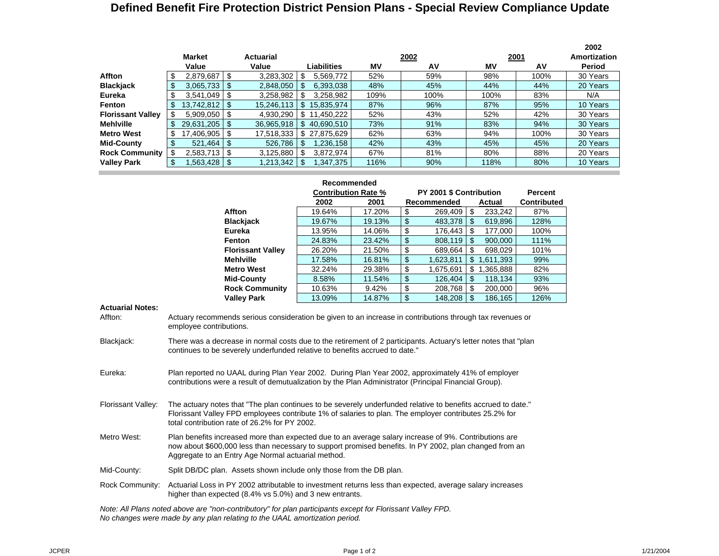## **Defined Benefit Fire Protection District Pension Plans - Special Review Compliance Update**

|                          |                    |                  |     |              |      |      |      |      | 2002         |
|--------------------------|--------------------|------------------|-----|--------------|------|------|------|------|--------------|
|                          | <b>Market</b>      | <b>Actuarial</b> |     |              |      | 2002 |      | 2001 | Amortization |
|                          | Value              | Value            |     | Liabilities  | MV   | AV   | MV   | AV   | Period       |
| Affton                   | $2,879,687$ \ \ \$ | 3,283,302        | \$. | 5,569,772    | 52%  | 59%  | 98%  | 100% | 30 Years     |
| <b>Blackjack</b>         |                    | 2,848,050        | \$  | 6,393,038    | 48%  | 45%  | 44%  | 44%  | 20 Years     |
| Eureka                   | $3,541,049$ \ \$   | 3,258,982        | S   | 3,258,982    | 109% | 100% | 100% | 83%  | N/A          |
| Fenton                   |                    | 15,246,113       | -\$ | 15.835.974   | 87%  | 96%  | 87%  | 95%  | 10 Years     |
| <b>Florissant Valley</b> | $5,909,050$ \ \$   | 4,930,290        |     | \$11,450,222 | 52%  | 43%  | 52%  | 42%  | 30 Years     |
| <b>Mehlville</b>         | $29,631,205$ \$    | 36,965,918       |     | \$40,690,510 | 73%  | 91%  | 83%  | 94%  | 30 Years     |
| <b>Metro West</b>        | 17.406.905   \$    | 17,518,333       |     | \$27,875,629 | 62%  | 63%  | 94%  | 100% | 30 Years     |
| <b>Mid-County</b>        |                    | 526,786          | \$  | 1,236,158    | 42%  | 43%  | 45%  | 45%  | 20 Years     |
| <b>Rock Community</b>    | $2,583,713$ \$     | 3,125,880        | -\$ | 3,872,974    | 67%  | 81%  | 80%  | 88%  | 20 Years     |
| <b>Valley Park</b>       | $.563.428$   \$    | 8 213,342        |     | 1,347,375    | 116% | 90%  | 118% | 80%  | 10 Years     |
|                          |                    |                  |     |              |      |      |      |      |              |

|                          | Recommended                |        |             |                         |                |           |                    |
|--------------------------|----------------------------|--------|-------------|-------------------------|----------------|-----------|--------------------|
|                          | <b>Contribution Rate %</b> |        |             | PY 2001 \$ Contribution | <b>Percent</b> |           |                    |
|                          | 2002                       | 2001   | Recommended |                         |                | Actual    | <b>Contributed</b> |
| Affton                   | 19.64%                     | 17.20% | \$          | 269,409                 | \$             | 233,242   | 87%                |
| <b>Blackjack</b>         | 19.67%                     | 19.13% | \$          | 483.378                 | \$             | 619,896   | 128%               |
| Eureka                   | 13.95%                     | 14.06% | \$          | 176.443                 | \$             | 177,000   | 100%               |
| Fenton                   | 24.83%                     | 23.42% | \$          | 808,119                 | \$             | 900.000   | 111%               |
| <b>Florissant Valley</b> | 26.20%                     | 21.50% | \$          | 689,664                 | \$             | 698,029   | 101%               |
| <b>Mehlville</b>         | 17.58%                     | 16.81% | \$          | 1,623,811               | \$             | 1,611,393 | 99%                |
| <b>Metro West</b>        | 32.24%                     | 29.38% | \$          | 1,675,691               | \$             | 1,365,888 | 82%                |
| <b>Mid-County</b>        | 8.58%                      | 11.54% | \$          | 126,404                 | \$             | 118,134   | 93%                |
| <b>Rock Community</b>    | 10.63%                     | 9.42%  | \$          | 208,768                 | \$             | 200,000   | 96%                |
| <b>Valley Park</b>       | 13.09%                     | 14.87% | \$          | 148,208                 | \$             | 186,165   | 126%               |

**Actuarial Notes:**

Affton: Actuary recommends serious consideration be given to an increase in contributions through tax revenues or employee contributions.

Blackjack: There was a decrease in normal costs due to the retirement of 2 participants. Actuary's letter notes that "plan continues to be severely underfunded relative to benefits accrued to date."

- Eureka: Plan reported no UAAL during Plan Year 2002. During Plan Year 2002, approximately 41% of employer contributions were a result of demutualization by the Plan Administrator (Principal Financial Group).
- Florissant Valley: The actuary notes that "The plan continues to be severely underfunded relative to benefits accrued to date." Florissant Valley FPD employees contribute 1% of salaries to plan. The employer contributes 25.2% for total contribution rate of 26.2% for PY 2002.
- Metro West: Plan benefits increased more than expected due to an average salary increase of 9%. Contributions are now about \$600,000 less than necessary to support promised benefits. In PY 2002, plan changed from an Aggregate to an Entry Age Normal actuarial method.

Mid-County: Split DB/DC plan. Assets shown include only those from the DB plan.

Rock Community: Actuarial Loss in PY 2002 attributable to investment returns less than expected, average salary increases higher than expected (8.4% vs 5.0%) and 3 new entrants.

*Note: All Plans noted above are "non-contributory" for plan participants except for Florissant Valley FPD. No changes were made by any plan relating to the UAAL amortization period.*